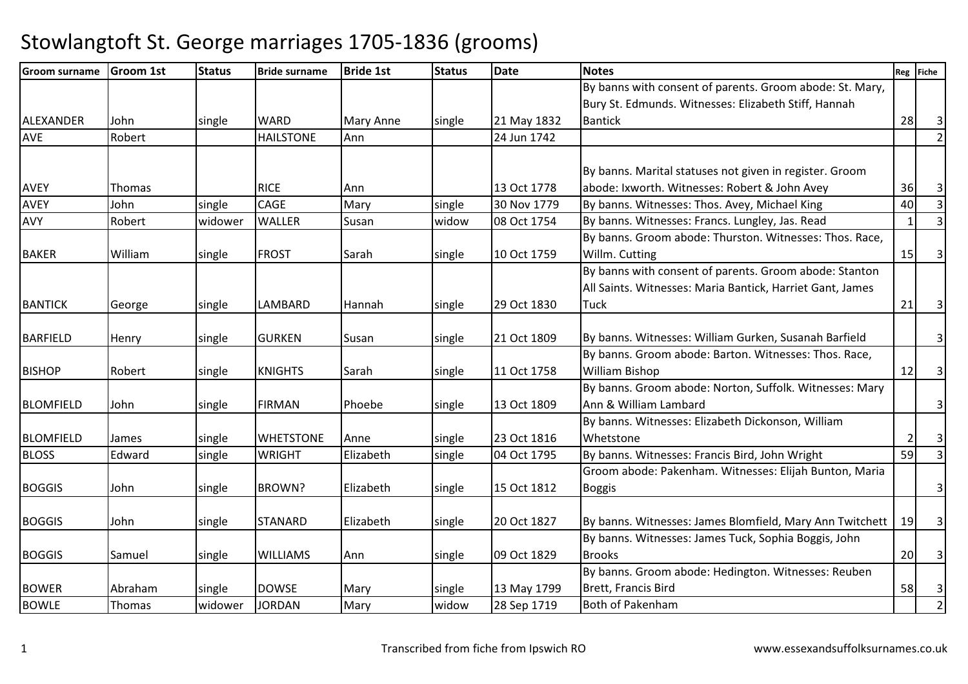| <b>Groom surname</b> | <b>Groom 1st</b> | <b>Status</b> | <b>Bride surname</b> | <b>Bride 1st</b> | <b>Status</b> | <b>Date</b> | <b>Notes</b>                                                                                                        |    | Reg Fiche               |
|----------------------|------------------|---------------|----------------------|------------------|---------------|-------------|---------------------------------------------------------------------------------------------------------------------|----|-------------------------|
|                      |                  |               |                      |                  |               |             | By banns with consent of parents. Groom abode: St. Mary,<br>Bury St. Edmunds. Witnesses: Elizabeth Stiff, Hannah    |    |                         |
| ALEXANDER            | John             | single        | <b>WARD</b>          | <b>Mary Anne</b> | single        | 21 May 1832 | <b>Bantick</b>                                                                                                      | 28 | 3                       |
| <b>AVE</b>           | Robert           |               | <b>HAILSTONE</b>     | Ann              |               | 24 Jun 1742 |                                                                                                                     |    | $\overline{2}$          |
|                      |                  |               |                      |                  |               |             |                                                                                                                     |    |                         |
|                      |                  |               |                      |                  |               |             | By banns. Marital statuses not given in register. Groom                                                             |    |                         |
| <b>AVEY</b>          | Thomas           |               | <b>RICE</b>          | Ann              |               | 13 Oct 1778 | abode: Ixworth. Witnesses: Robert & John Avey                                                                       | 36 | $\vert$ 3               |
| <b>AVEY</b>          | John             | single        | <b>CAGE</b>          | Mary             | single        | 30 Nov 1779 | By banns. Witnesses: Thos. Avey, Michael King                                                                       | 40 | $\overline{3}$          |
| AVY                  | Robert           | widower       | <b>WALLER</b>        | Susan            | widow         | 08 Oct 1754 | By banns. Witnesses: Francs. Lungley, Jas. Read                                                                     |    | $\overline{3}$          |
|                      |                  |               |                      |                  |               |             | By banns. Groom abode: Thurston. Witnesses: Thos. Race,                                                             |    |                         |
| <b>BAKER</b>         | William          | single        | <b>FROST</b>         | Sarah            | single        | 10 Oct 1759 | Willm. Cutting                                                                                                      | 15 | 3 <sup>1</sup>          |
|                      |                  |               |                      |                  |               |             | By banns with consent of parents. Groom abode: Stanton<br>All Saints. Witnesses: Maria Bantick, Harriet Gant, James |    |                         |
| <b>BANTICK</b>       | George           | single        | <b>LAMBARD</b>       | Hannah           | single        | 29 Oct 1830 | Tuck                                                                                                                | 21 | $\overline{\mathbf{3}}$ |
| <b>BARFIELD</b>      | Henry            | single        | <b>GURKEN</b>        | Susan            | single        | 21 Oct 1809 | By banns. Witnesses: William Gurken, Susanah Barfield                                                               |    | 3 <sup>1</sup>          |
|                      |                  |               |                      |                  |               |             | By banns. Groom abode: Barton. Witnesses: Thos. Race,                                                               |    |                         |
| <b>BISHOP</b>        | Robert           | single        | <b>KNIGHTS</b>       | Sarah            | single        | 11 Oct 1758 | <b>William Bishop</b>                                                                                               | 12 | 3                       |
|                      |                  |               |                      |                  |               |             | By banns. Groom abode: Norton, Suffolk. Witnesses: Mary                                                             |    |                         |
| <b>BLOMFIELD</b>     | John             | single        | <b>FIRMAN</b>        | Phoebe           | single        | 13 Oct 1809 | Ann & William Lambard                                                                                               |    | $\overline{\mathbf{3}}$ |
|                      |                  |               |                      |                  |               |             | By banns. Witnesses: Elizabeth Dickonson, William                                                                   |    |                         |
| <b>BLOMFIELD</b>     | James            | single        | <b>WHETSTONE</b>     | Anne             | single        | 23 Oct 1816 | Whetstone                                                                                                           |    | $\overline{\mathbf{3}}$ |
| <b>BLOSS</b>         | Edward           | single        | <b>WRIGHT</b>        | Elizabeth        | single        | 04 Oct 1795 | By banns. Witnesses: Francis Bird, John Wright                                                                      | 59 | $\vert$ 3               |
|                      |                  |               |                      |                  |               |             | Groom abode: Pakenham. Witnesses: Elijah Bunton, Maria                                                              |    |                         |
| <b>BOGGIS</b>        | John             | single        | <b>BROWN?</b>        | Elizabeth        | single        | 15 Oct 1812 | <b>Boggis</b>                                                                                                       |    | $\overline{3}$          |
| <b>BOGGIS</b>        | John             | single        | <b>STANARD</b>       | Elizabeth        | single        | 20 Oct 1827 | By banns. Witnesses: James Blomfield, Mary Ann Twitchett                                                            | 19 | $\vert$ 3               |
|                      |                  |               |                      |                  |               |             | By banns. Witnesses: James Tuck, Sophia Boggis, John                                                                |    |                         |
| <b>BOGGIS</b>        | Samuel           | single        | <b>WILLIAMS</b>      | Ann              | single        | 09 Oct 1829 | <b>Brooks</b>                                                                                                       | 20 | 3 <sup>1</sup>          |
|                      |                  |               |                      |                  |               |             | By banns. Groom abode: Hedington. Witnesses: Reuben                                                                 |    |                         |
| <b>BOWER</b>         | Abraham          | single        | <b>DOWSE</b>         | Mary             | single        | 13 May 1799 | Brett, Francis Bird                                                                                                 | 58 | $\overline{\mathbf{3}}$ |
| <b>BOWLE</b>         | Thomas           | widower       | <b>JORDAN</b>        | Mary             | widow         | 28 Sep 1719 | <b>Both of Pakenham</b>                                                                                             |    | $\overline{2}$          |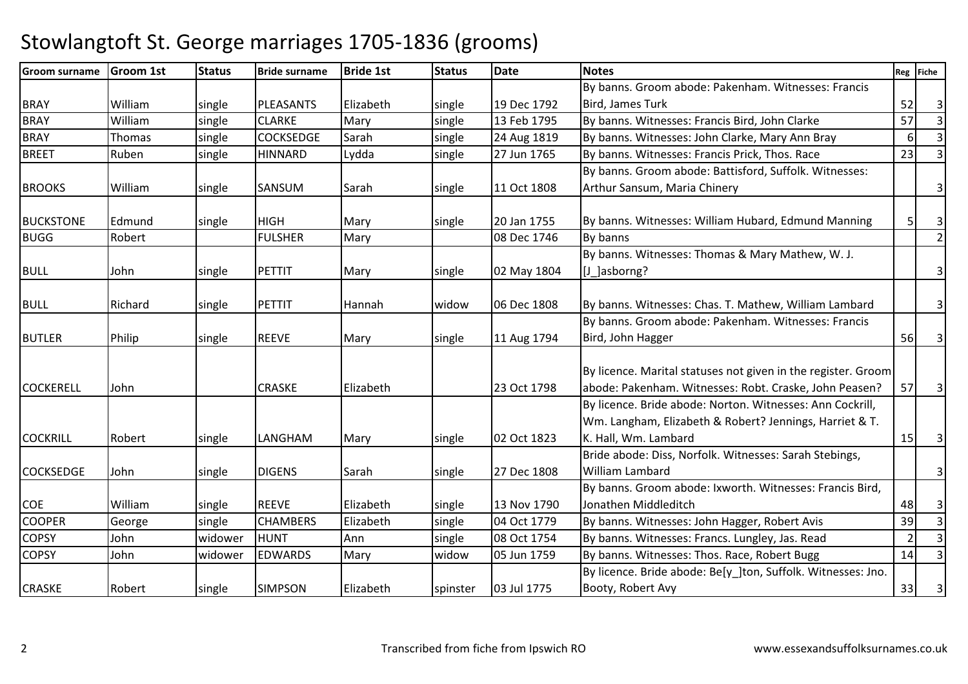| <b>Groom surname</b> | Groom 1st | <b>Status</b> | <b>Bride surname</b> | <b>Bride 1st</b> | <b>Status</b> | <b>Date</b> | <b>Notes</b>                                                  |                | Reg Fiche               |
|----------------------|-----------|---------------|----------------------|------------------|---------------|-------------|---------------------------------------------------------------|----------------|-------------------------|
|                      |           |               |                      |                  |               |             | By banns. Groom abode: Pakenham. Witnesses: Francis           |                |                         |
| <b>BRAY</b>          | William   | single        | <b>PLEASANTS</b>     | Elizabeth        | single        | 19 Dec 1792 | <b>Bird, James Turk</b>                                       | 52             | $\overline{\mathbf{3}}$ |
| <b>BRAY</b>          | William   | single        | <b>CLARKE</b>        | Mary             | single        | 13 Feb 1795 | By banns. Witnesses: Francis Bird, John Clarke                | 57             | $\overline{3}$          |
| <b>BRAY</b>          | Thomas    | single        | <b>COCKSEDGE</b>     | Sarah            | single        | 24 Aug 1819 | By banns. Witnesses: John Clarke, Mary Ann Bray               | 6 <sup>1</sup> | $\overline{3}$          |
| <b>BREET</b>         | Ruben     | single        | <b>HINNARD</b>       | Lydda            | single        | 27 Jun 1765 | By banns. Witnesses: Francis Prick, Thos. Race                | 23             | $\overline{\mathsf{3}}$ |
|                      |           |               |                      |                  |               |             | By banns. Groom abode: Battisford, Suffolk. Witnesses:        |                |                         |
| <b>BROOKS</b>        | William   | single        | SANSUM               | Sarah            | single        | 11 Oct 1808 | Arthur Sansum, Maria Chinery                                  |                | $\overline{3}$          |
|                      |           |               |                      |                  |               |             |                                                               |                |                         |
| <b>BUCKSTONE</b>     | Edmund    | single        | <b>HIGH</b>          | Mary             | single        | 20 Jan 1755 | By banns. Witnesses: William Hubard, Edmund Manning           |                | $\overline{3}$          |
| <b>BUGG</b>          | Robert    |               | <b>FULSHER</b>       | Mary             |               | 08 Dec 1746 | By banns                                                      |                | $\overline{2}$          |
|                      |           |               |                      |                  |               |             | By banns. Witnesses: Thomas & Mary Mathew, W. J.              |                |                         |
| <b>BULL</b>          | John      | single        | <b>PETTIT</b>        | Mary             | single        | 02 May 1804 | [J_]asborng?                                                  |                | $\overline{3}$          |
| <b>BULL</b>          | Richard   | single        | PETTIT               | Hannah           | widow         | 06 Dec 1808 | By banns. Witnesses: Chas. T. Mathew, William Lambard         |                | $\overline{3}$          |
|                      |           |               |                      |                  |               |             | By banns. Groom abode: Pakenham. Witnesses: Francis           |                |                         |
| <b>BUTLER</b>        | Philip    | single        | <b>REEVE</b>         | Mary             | single        | 11 Aug 1794 | Bird, John Hagger                                             | 56             | $\overline{\mathbf{3}}$ |
|                      |           |               |                      |                  |               |             |                                                               |                |                         |
|                      |           |               |                      |                  |               |             | By licence. Marital statuses not given in the register. Groom |                |                         |
| <b>COCKERELL</b>     | John      |               | <b>CRASKE</b>        | Elizabeth        |               | 23 Oct 1798 | abode: Pakenham. Witnesses: Robt. Craske, John Peasen?        | 57             | $\overline{\mathbf{3}}$ |
|                      |           |               |                      |                  |               |             | By licence. Bride abode: Norton. Witnesses: Ann Cockrill,     |                |                         |
|                      |           |               |                      |                  |               |             | Wm. Langham, Elizabeth & Robert? Jennings, Harriet & T.       |                |                         |
| <b>COCKRILL</b>      | Robert    | single        | <b>LANGHAM</b>       | Mary             | single        | 02 Oct 1823 | K. Hall, Wm. Lambard                                          | 15             | $\overline{\mathbf{3}}$ |
|                      |           |               |                      |                  |               |             | Bride abode: Diss, Norfolk. Witnesses: Sarah Stebings,        |                |                         |
| <b>COCKSEDGE</b>     | John      | single        | <b>DIGENS</b>        | Sarah            | single        | 27 Dec 1808 | William Lambard                                               |                | $\overline{3}$          |
|                      |           |               |                      |                  |               |             | By banns. Groom abode: Ixworth. Witnesses: Francis Bird,      |                |                         |
| <b>COE</b>           | William   | single        | <b>REEVE</b>         | Elizabeth        | single        | 13 Nov 1790 | Jonathen Middleditch                                          | 48             | $\vert$ 3               |
| <b>COOPER</b>        | George    | single        | <b>CHAMBERS</b>      | Elizabeth        | single        | 04 Oct 1779 | By banns. Witnesses: John Hagger, Robert Avis                 | 39             | $\overline{3}$          |
| <b>COPSY</b>         | John      | widower       | <b>HUNT</b>          | Ann              | single        | 08 Oct 1754 | By banns. Witnesses: Francs. Lungley, Jas. Read               | $\overline{2}$ | $\overline{3}$          |
| <b>COPSY</b>         | John      | widower       | <b>EDWARDS</b>       | Mary             | widow         | 05 Jun 1759 | By banns. Witnesses: Thos. Race, Robert Bugg                  | 14             | $\overline{3}$          |
|                      |           |               |                      |                  |               |             | By licence. Bride abode: Be[y_]ton, Suffolk. Witnesses: Jno.  |                |                         |
| <b>CRASKE</b>        | Robert    | single        | <b>SIMPSON</b>       | Elizabeth        | spinster      | 03 Jul 1775 | Booty, Robert Avy                                             | 33             | $\overline{\mathbf{3}}$ |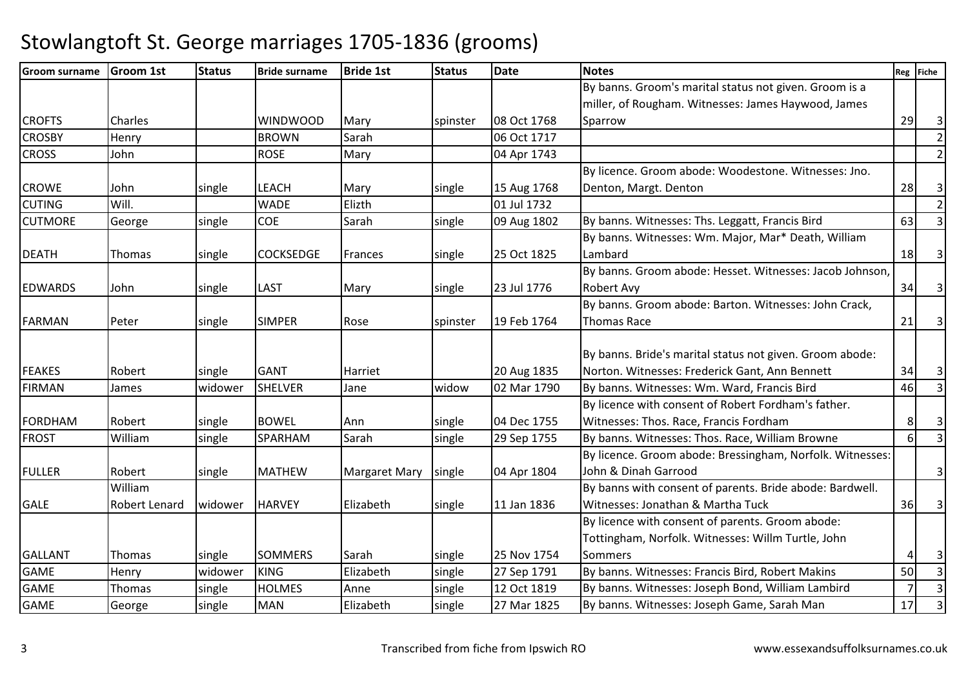| <b>Groom surname</b> | <b>Groom 1st</b>     | <b>Status</b> | <b>Bride surname</b> | <b>Bride 1st</b>     | <b>Status</b> | <b>Date</b> | <b>Notes</b>                                              |                | Reg Fiche               |
|----------------------|----------------------|---------------|----------------------|----------------------|---------------|-------------|-----------------------------------------------------------|----------------|-------------------------|
|                      |                      |               |                      |                      |               |             | By banns. Groom's marital status not given. Groom is a    |                |                         |
|                      |                      |               |                      |                      |               |             | miller, of Rougham. Witnesses: James Haywood, James       |                |                         |
| <b>CROFTS</b>        | Charles              |               | <b>WINDWOOD</b>      | Mary                 | spinster      | 08 Oct 1768 | Sparrow                                                   | 29             | $\overline{\mathbf{3}}$ |
| <b>CROSBY</b>        | Henry                |               | <b>BROWN</b>         | Sarah                |               | 06 Oct 1717 |                                                           |                | $\overline{2}$          |
| <b>CROSS</b>         | John                 |               | <b>ROSE</b>          | Mary                 |               | 04 Apr 1743 |                                                           |                | $\overline{2}$          |
|                      |                      |               |                      |                      |               |             | By licence. Groom abode: Woodestone. Witnesses: Jno.      |                |                         |
| <b>CROWE</b>         | John                 | single        | <b>LEACH</b>         | Mary                 | single        | 15 Aug 1768 | Denton, Margt. Denton                                     | 28             | $\overline{\mathbf{3}}$ |
| <b>CUTING</b>        | Will.                |               | <b>WADE</b>          | Elizth               |               | 01 Jul 1732 |                                                           |                | $\overline{2}$          |
| <b>CUTMORE</b>       | George               | single        | COE                  | Sarah                | single        | 09 Aug 1802 | By banns. Witnesses: Ths. Leggatt, Francis Bird           | 63             | $\overline{3}$          |
|                      |                      |               |                      |                      |               |             | By banns. Witnesses: Wm. Major, Mar* Death, William       |                |                         |
| <b>DEATH</b>         | Thomas               | single        | <b>COCKSEDGE</b>     | Frances              | single        | 25 Oct 1825 | Lambard                                                   | 18             | $\overline{\mathbf{3}}$ |
|                      |                      |               |                      |                      |               |             | By banns. Groom abode: Hesset. Witnesses: Jacob Johnson,  |                |                         |
| <b>EDWARDS</b>       | John                 | single        | <b>LAST</b>          | Mary                 | single        | 23 Jul 1776 | <b>Robert Avy</b>                                         | 34             | $\overline{\mathbf{3}}$ |
|                      |                      |               |                      |                      |               |             | By banns. Groom abode: Barton. Witnesses: John Crack,     |                |                         |
| <b>FARMAN</b>        | Peter                | single        | <b>SIMPER</b>        | Rose                 | spinster      | 19 Feb 1764 | Thomas Race                                               | 21             | $\overline{\mathbf{3}}$ |
|                      |                      |               |                      |                      |               |             |                                                           |                |                         |
|                      |                      |               |                      |                      |               |             | By banns. Bride's marital status not given. Groom abode:  |                |                         |
| <b>FEAKES</b>        | Robert               | single        | <b>GANT</b>          | Harriet              |               | 20 Aug 1835 | Norton. Witnesses: Frederick Gant, Ann Bennett            | 34             | $\overline{\mathsf{3}}$ |
| <b>FIRMAN</b>        | James                | widower       | <b>SHELVER</b>       | Jane                 | widow         | 02 Mar 1790 | By banns. Witnesses: Wm. Ward, Francis Bird               | 46             | $\overline{3}$          |
|                      |                      |               |                      |                      |               |             | By licence with consent of Robert Fordham's father.       |                |                         |
| <b>FORDHAM</b>       | Robert               | single        | <b>BOWEL</b>         | Ann                  | single        | 04 Dec 1755 | Witnesses: Thos. Race, Francis Fordham                    | 8              | $\overline{\mathbf{3}}$ |
| <b>FROST</b>         | William              | single        | SPARHAM              | Sarah                | single        | 29 Sep 1755 | By banns. Witnesses: Thos. Race, William Browne           | $6 \mid$       | $\overline{3}$          |
|                      |                      |               |                      |                      |               |             | By licence. Groom abode: Bressingham, Norfolk. Witnesses: |                |                         |
| <b>FULLER</b>        | Robert               | single        | <b>MATHEW</b>        | <b>Margaret Mary</b> | single        | 04 Apr 1804 | John & Dinah Garrood                                      |                | $\overline{3}$          |
|                      | William              |               |                      |                      |               |             | By banns with consent of parents. Bride abode: Bardwell.  |                |                         |
| <b>GALE</b>          | <b>Robert Lenard</b> | widower       | <b>HARVEY</b>        | Elizabeth            | single        | 11 Jan 1836 | Witnesses: Jonathan & Martha Tuck                         | 36             | 3 <sup>1</sup>          |
|                      |                      |               |                      |                      |               |             | By licence with consent of parents. Groom abode:          |                |                         |
|                      |                      |               |                      |                      |               |             | Tottingham, Norfolk. Witnesses: Willm Turtle, John        |                |                         |
| <b>GALLANT</b>       | Thomas               | single        | <b>SOMMERS</b>       | Sarah                | single        | 25 Nov 1754 | Sommers                                                   |                | $\overline{\mathbf{3}}$ |
| <b>GAME</b>          | Henry                | widower       | <b>KING</b>          | Elizabeth            | single        | 27 Sep 1791 | By banns. Witnesses: Francis Bird, Robert Makins          | 50             | $\overline{3}$          |
| <b>GAME</b>          | Thomas               | single        | <b>HOLMES</b>        | Anne                 | single        | 12 Oct 1819 | By banns. Witnesses: Joseph Bond, William Lambird         | 7 <sup>1</sup> | $\overline{3}$          |
| <b>GAME</b>          | George               | single        | <b>MAN</b>           | Elizabeth            | single        | 27 Mar 1825 | By banns. Witnesses: Joseph Game, Sarah Man               | 17             | $\overline{3}$          |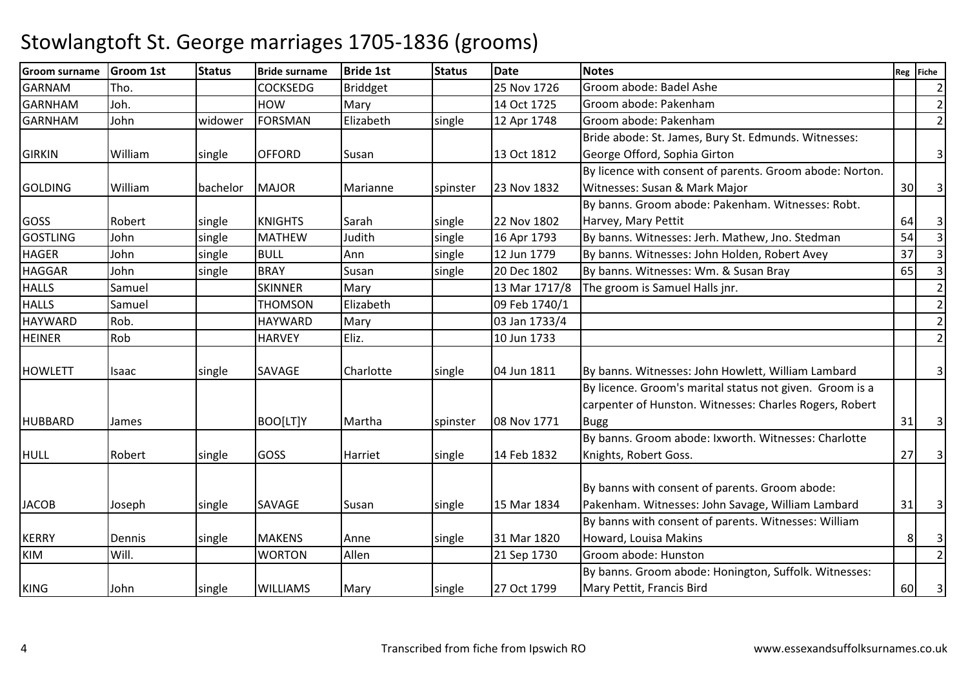| <b>Groom surname</b> | <b>Groom 1st</b> | <b>Status</b> | <b>Bride surname</b> | <b>Bride 1st</b> | <b>Status</b> | <b>Date</b>   | <b>Notes</b>                                             |                | Reg Fiche               |
|----------------------|------------------|---------------|----------------------|------------------|---------------|---------------|----------------------------------------------------------|----------------|-------------------------|
| <b>GARNAM</b>        | Tho.             |               | <b>COCKSEDG</b>      | <b>Briddget</b>  |               | 25 Nov 1726   | Groom abode: Badel Ashe                                  |                | $\overline{2}$          |
| <b>GARNHAM</b>       | Joh.             |               | <b>HOW</b>           | Mary             |               | 14 Oct 1725   | Groom abode: Pakenham                                    |                | $\overline{2}$          |
| <b>GARNHAM</b>       | John             | widower       | <b>FORSMAN</b>       | Elizabeth        | single        | 12 Apr 1748   | Groom abode: Pakenham                                    |                | $\overline{2}$          |
|                      |                  |               |                      |                  |               |               | Bride abode: St. James, Bury St. Edmunds. Witnesses:     |                |                         |
| <b>GIRKIN</b>        | William          | single        | <b>OFFORD</b>        | Susan            |               | 13 Oct 1812   | George Offord, Sophia Girton                             |                | $\overline{3}$          |
|                      |                  |               |                      |                  |               |               | By licence with consent of parents. Groom abode: Norton. |                |                         |
| <b>GOLDING</b>       | William          | bachelor      | <b>MAJOR</b>         | Marianne         | spinster      | 23 Nov 1832   | Witnesses: Susan & Mark Major                            | 30             | 3 <sup>1</sup>          |
|                      |                  |               |                      |                  |               |               | By banns. Groom abode: Pakenham. Witnesses: Robt.        |                |                         |
| <b>GOSS</b>          | Robert           | single        | <b>KNIGHTS</b>       | Sarah            | single        | 22 Nov 1802   | Harvey, Mary Pettit                                      | 64             | $\vert$ 3               |
| <b>GOSTLING</b>      | John             | single        | <b>MATHEW</b>        | Judith           | single        | 16 Apr 1793   | By banns. Witnesses: Jerh. Mathew, Jno. Stedman          | 54             | $\overline{\mathbf{3}}$ |
| <b>HAGER</b>         | John             | single        | <b>BULL</b>          | Ann              | single        | 12 Jun 1779   | By banns. Witnesses: John Holden, Robert Avey            | 37             | $\overline{3}$          |
| <b>HAGGAR</b>        | John             | single        | <b>BRAY</b>          | Susan            | single        | 20 Dec 1802   | By banns. Witnesses: Wm. & Susan Bray                    | 65             | $\overline{3}$          |
| <b>HALLS</b>         | Samuel           |               | <b>SKINNER</b>       | Mary             |               | 13 Mar 1717/8 | The groom is Samuel Halls jnr.                           |                | $\overline{2}$          |
| <b>HALLS</b>         | Samuel           |               | <b>THOMSON</b>       | Elizabeth        |               | 09 Feb 1740/1 |                                                          |                | $\overline{2}$          |
| <b>HAYWARD</b>       | Rob.             |               | <b>HAYWARD</b>       | Mary             |               | 03 Jan 1733/4 |                                                          |                | $\overline{2}$          |
| <b>HEINER</b>        | Rob              |               | <b>HARVEY</b>        | Eliz.            |               | 10 Jun 1733   |                                                          |                | $\overline{2}$          |
|                      |                  |               |                      |                  |               |               |                                                          |                |                         |
| <b>HOWLETT</b>       | Isaac            | single        | <b>SAVAGE</b>        | Charlotte        | single        | 04 Jun 1811   | By banns. Witnesses: John Howlett, William Lambard       |                | $\overline{\mathsf{3}}$ |
|                      |                  |               |                      |                  |               |               | By licence. Groom's marital status not given. Groom is a |                |                         |
|                      |                  |               |                      |                  |               |               | carpenter of Hunston. Witnesses: Charles Rogers, Robert  |                |                         |
| <b>HUBBARD</b>       | James            |               | BOO[LT]Y             | Martha           | spinster      | 08 Nov 1771   | <b>Bugg</b>                                              | 31             | 3                       |
|                      |                  |               |                      |                  |               |               | By banns. Groom abode: Ixworth. Witnesses: Charlotte     |                |                         |
| <b>HULL</b>          | Robert           | single        | GOSS                 | Harriet          | single        | 14 Feb 1832   | Knights, Robert Goss.                                    | 27             | $\overline{3}$          |
|                      |                  |               |                      |                  |               |               | By banns with consent of parents. Groom abode:           |                |                         |
| <b>JACOB</b>         | Joseph           | single        | SAVAGE               | Susan            | single        | 15 Mar 1834   | Pakenham. Witnesses: John Savage, William Lambard        | 31             | $\overline{\mathsf{3}}$ |
|                      |                  |               |                      |                  |               |               | By banns with consent of parents. Witnesses: William     |                |                         |
| <b>KERRY</b>         | Dennis           | single        | <b>MAKENS</b>        | Anne             | single        | 31 Mar 1820   | Howard, Louisa Makins                                    | 8 <sup>1</sup> | 3 <sup>1</sup>          |
| <b>KIM</b>           | Will.            |               | <b>WORTON</b>        | Allen            |               | 21 Sep 1730   | Groom abode: Hunston                                     |                | $\overline{2}$          |
|                      |                  |               |                      |                  |               |               | By banns. Groom abode: Honington, Suffolk. Witnesses:    |                |                         |
| <b>KING</b>          | John             | single        | <b>WILLIAMS</b>      | Mary             | single        | 27 Oct 1799   | Mary Pettit, Francis Bird                                | 60             | $\overline{\mathbf{3}}$ |
|                      |                  |               |                      |                  |               |               |                                                          |                |                         |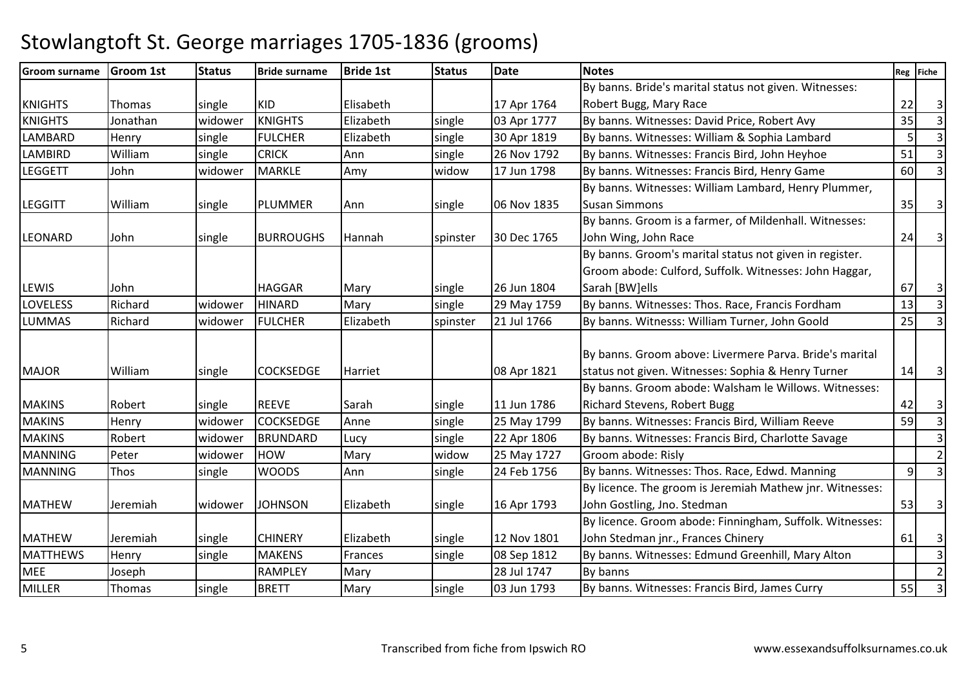| <b>Groom surname</b> | <b>Groom 1st</b> | <b>Status</b> | <b>Bride surname</b> | <b>Bride 1st</b> | <b>Status</b> | <b>Date</b> | <b>Notes</b>                                             |                | Reg Fiche               |
|----------------------|------------------|---------------|----------------------|------------------|---------------|-------------|----------------------------------------------------------|----------------|-------------------------|
|                      |                  |               |                      |                  |               |             | By banns. Bride's marital status not given. Witnesses:   |                |                         |
| <b>KNIGHTS</b>       | Thomas           | single        | <b>KID</b>           | Elisabeth        |               | 17 Apr 1764 | Robert Bugg, Mary Race                                   | 22             | $\overline{\mathbf{3}}$ |
| <b>KNIGHTS</b>       | Jonathan         | widower       | <b>KNIGHTS</b>       | Elizabeth        | single        | 03 Apr 1777 | By banns. Witnesses: David Price, Robert Avy             | 35             | $\overline{3}$          |
| <b>LAMBARD</b>       | Henry            | single        | <b>FULCHER</b>       | Elizabeth        | single        | 30 Apr 1819 | By banns. Witnesses: William & Sophia Lambard            | 5 <sup>1</sup> | $\overline{3}$          |
| <b>LAMBIRD</b>       | William          | single        | <b>CRICK</b>         | Ann              | single        | 26 Nov 1792 | By banns. Witnesses: Francis Bird, John Heyhoe           | 51             | $\overline{3}$          |
| <b>LEGGETT</b>       | John             | widower       | <b>MARKLE</b>        | Amy              | widow         | 17 Jun 1798 | By banns. Witnesses: Francis Bird, Henry Game            | 60             | $\overline{3}$          |
|                      |                  |               |                      |                  |               |             | By banns. Witnesses: William Lambard, Henry Plummer,     |                |                         |
| <b>LEGGITT</b>       | William          | single        | PLUMMER              | Ann              | single        | 06 Nov 1835 | <b>Susan Simmons</b>                                     | 35             | $\overline{3}$          |
|                      |                  |               |                      |                  |               |             | By banns. Groom is a farmer, of Mildenhall. Witnesses:   |                |                         |
| <b>LEONARD</b>       | John             | single        | <b>BURROUGHS</b>     | Hannah           | spinster      | 30 Dec 1765 | John Wing, John Race                                     | 24             | $\overline{\mathbf{3}}$ |
|                      |                  |               |                      |                  |               |             | By banns. Groom's marital status not given in register.  |                |                         |
|                      |                  |               |                      |                  |               |             | Groom abode: Culford, Suffolk. Witnesses: John Haggar,   |                |                         |
| <b>LEWIS</b>         | John             |               | <b>HAGGAR</b>        | Mary             | single        | 26 Jun 1804 | Sarah [BW]ells                                           | 67             | 3 <sup>1</sup>          |
| <b>LOVELESS</b>      | Richard          | widower       | <b>HINARD</b>        | Mary             | single        | 29 May 1759 | By banns. Witnesses: Thos. Race, Francis Fordham         | 13             | $\vert$ 3               |
| <b>LUMMAS</b>        | Richard          | widower       | <b>FULCHER</b>       | Elizabeth        | spinster      | 21 Jul 1766 | By banns. Witnesss: William Turner, John Goold           | 25             | $\overline{3}$          |
|                      |                  |               |                      |                  |               |             |                                                          |                |                         |
|                      |                  |               |                      |                  |               |             | By banns. Groom above: Livermere Parva. Bride's marital  |                |                         |
| <b>MAJOR</b>         | William          | single        | <b>COCKSEDGE</b>     | Harriet          |               | 08 Apr 1821 | status not given. Witnesses: Sophia & Henry Turner       | 14             | $\overline{\mathbf{3}}$ |
|                      |                  |               |                      |                  |               |             | By banns. Groom abode: Walsham le Willows. Witnesses:    |                |                         |
| <b>MAKINS</b>        | Robert           | single        | <b>REEVE</b>         | Sarah            | single        | 11 Jun 1786 | <b>Richard Stevens, Robert Bugg</b>                      | 42             | 3 <sup>1</sup>          |
| <b>MAKINS</b>        | Henry            | widower       | <b>COCKSEDGE</b>     | Anne             | single        | 25 May 1799 | By banns. Witnesses: Francis Bird, William Reeve         | 59             | $\overline{3}$          |
| <b>MAKINS</b>        | Robert           | widower       | <b>BRUNDARD</b>      | Lucy             | single        | 22 Apr 1806 | By banns. Witnesses: Francis Bird, Charlotte Savage      |                | $\overline{3}$          |
| <b>MANNING</b>       | Peter            | widower       | <b>HOW</b>           | Mary             | widow         | 25 May 1727 | Groom abode: Risly                                       |                | $\overline{2}$          |
| <b>MANNING</b>       | Thos             | single        | <b>WOODS</b>         | Ann              | single        | 24 Feb 1756 | By banns. Witnesses: Thos. Race, Edwd. Manning           | $\overline{9}$ | $\overline{3}$          |
|                      |                  |               |                      |                  |               |             | By licence. The groom is Jeremiah Mathew jnr. Witnesses: |                |                         |
| <b>MATHEW</b>        | Jeremiah         | widower       | <b>JOHNSON</b>       | Elizabeth        | single        | 16 Apr 1793 | John Gostling, Jno. Stedman                              | 53             | $\overline{\mathbf{3}}$ |
|                      |                  |               |                      |                  |               |             | By licence. Groom abode: Finningham, Suffolk. Witnesses: |                |                         |
| <b>MATHEW</b>        | Jeremiah         | single        | <b>CHINERY</b>       | Elizabeth        | single        | 12 Nov 1801 | John Stedman jnr., Frances Chinery                       | 61             | $\overline{\mathbf{3}}$ |
| <b>MATTHEWS</b>      | Henry            | single        | <b>MAKENS</b>        | Frances          | single        | 08 Sep 1812 | By banns. Witnesses: Edmund Greenhill, Mary Alton        |                | $\overline{3}$          |
| <b>MEE</b>           | Joseph           |               | <b>RAMPLEY</b>       | Mary             |               | 28 Jul 1747 | By banns                                                 |                | 2 <sup>1</sup>          |
| <b>MILLER</b>        | Thomas           | single        | <b>BRETT</b>         | Mary             | single        | 03 Jun 1793 | By banns. Witnesses: Francis Bird, James Curry           | 55             | 3 <sup>1</sup>          |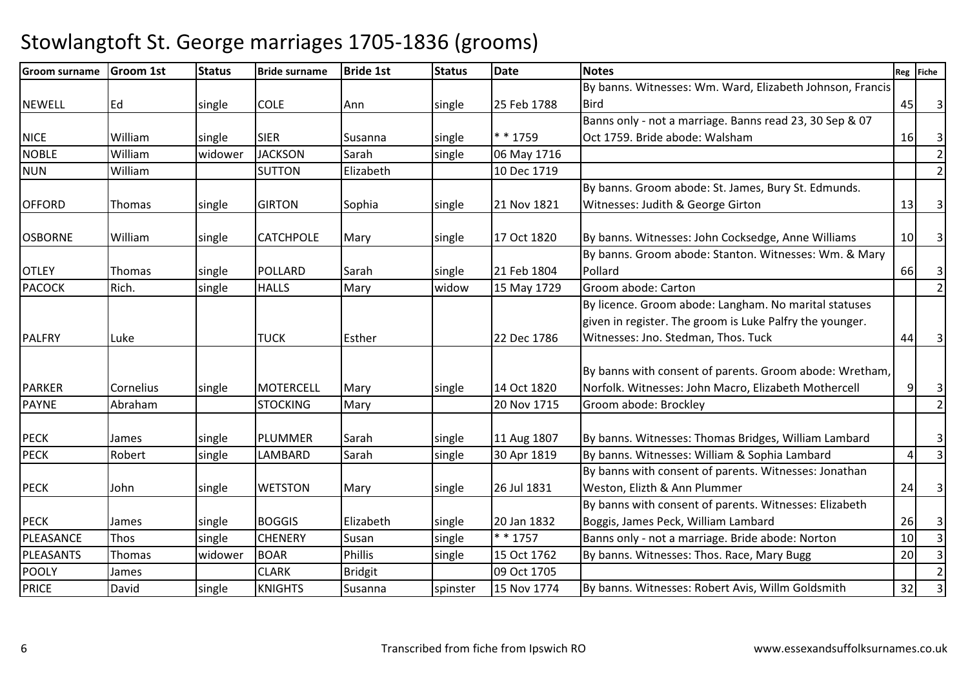| <b>Groom surname</b> | <b>Groom 1st</b> | <b>Status</b> | <b>Bride surname</b> | <b>Bride 1st</b> | <b>Status</b> | <b>Date</b> | <b>Notes</b>                                              |                | Reg Fiche               |
|----------------------|------------------|---------------|----------------------|------------------|---------------|-------------|-----------------------------------------------------------|----------------|-------------------------|
|                      |                  |               |                      |                  |               |             | By banns. Witnesses: Wm. Ward, Elizabeth Johnson, Francis |                |                         |
| <b>NEWELL</b>        | Ed               | single        | <b>COLE</b>          | Ann              | single        | 25 Feb 1788 | <b>Bird</b>                                               | 45             | $\overline{\mathbf{3}}$ |
|                      |                  |               |                      |                  |               |             | Banns only - not a marriage. Banns read 23, 30 Sep & 07   |                |                         |
| <b>NICE</b>          | William          | single        | <b>SIER</b>          | Susanna          | single        | * * 1759    | Oct 1759. Bride abode: Walsham                            | 16             | $\overline{\mathbf{3}}$ |
| <b>NOBLE</b>         | William          | widower       | <b>JACKSON</b>       | Sarah            | single        | 06 May 1716 |                                                           |                | $\overline{2}$          |
| <b>NUN</b>           | William          |               | <b>SUTTON</b>        | Elizabeth        |               | 10 Dec 1719 |                                                           |                | $\overline{2}$          |
|                      |                  |               |                      |                  |               |             | By banns. Groom abode: St. James, Bury St. Edmunds.       |                |                         |
| <b>OFFORD</b>        | Thomas           | single        | <b>GIRTON</b>        | Sophia           | single        | 21 Nov 1821 | Witnesses: Judith & George Girton                         | 13             | 3 <sup>1</sup>          |
| <b>OSBORNE</b>       | William          | single        | <b>CATCHPOLE</b>     | Mary             | single        | 17 Oct 1820 | By banns. Witnesses: John Cocksedge, Anne Williams        | 10             | 3 <sup>1</sup>          |
|                      |                  |               |                      |                  |               |             | By banns. Groom abode: Stanton. Witnesses: Wm. & Mary     |                |                         |
| <b>OTLEY</b>         | Thomas           | single        | <b>POLLARD</b>       | Sarah            | single        | 21 Feb 1804 | Pollard                                                   | 66             | 3 <sup>1</sup>          |
| <b>PACOCK</b>        | Rich.            | single        | <b>HALLS</b>         | Mary             | widow         | 15 May 1729 | Groom abode: Carton                                       |                | $\overline{2}$          |
|                      |                  |               |                      |                  |               |             | By licence. Groom abode: Langham. No marital statuses     |                |                         |
|                      |                  |               |                      |                  |               |             | given in register. The groom is Luke Palfry the younger.  |                |                         |
| PALFRY               | Luke             |               | <b>TUCK</b>          | Esther           |               | 22 Dec 1786 | Witnesses: Jno. Stedman, Thos. Tuck                       | 44             | $\overline{\mathbf{3}}$ |
|                      |                  |               |                      |                  |               |             | By banns with consent of parents. Groom abode: Wretham,   |                |                         |
| <b>PARKER</b>        | Cornelius        | single        | <b>MOTERCELL</b>     | Mary             | single        | 14 Oct 1820 | Norfolk. Witnesses: John Macro, Elizabeth Mothercell      | 9              | $\overline{\mathbf{3}}$ |
| <b>PAYNE</b>         | Abraham          |               | <b>STOCKING</b>      | Mary             |               | 20 Nov 1715 | Groom abode: Brockley                                     |                | $\overline{2}$          |
|                      |                  |               |                      |                  |               |             |                                                           |                |                         |
| <b>PECK</b>          | James            | single        | PLUMMER              | Sarah            | single        | 11 Aug 1807 | By banns. Witnesses: Thomas Bridges, William Lambard      |                | $\overline{\mathsf{3}}$ |
| <b>PECK</b>          | Robert           | single        | <b>LAMBARD</b>       | Sarah            | single        | 30 Apr 1819 | By banns. Witnesses: William & Sophia Lambard             | $\overline{4}$ | $\overline{3}$          |
|                      |                  |               |                      |                  |               |             | By banns with consent of parents. Witnesses: Jonathan     |                |                         |
| <b>PECK</b>          | John             | single        | <b>WETSTON</b>       | Mary             | single        | 26 Jul 1831 | Weston, Elizth & Ann Plummer                              | 24             | $\overline{\mathbf{3}}$ |
|                      |                  |               |                      |                  |               |             | By banns with consent of parents. Witnesses: Elizabeth    |                |                         |
| <b>PECK</b>          | James            | single        | <b>BOGGIS</b>        | Elizabeth        | single        | 20 Jan 1832 | Boggis, James Peck, William Lambard                       | 26             | 3 <sup>1</sup>          |
| PLEASANCE            | Thos             | single        | <b>CHENERY</b>       | Susan            | single        | * * 1757    | Banns only - not a marriage. Bride abode: Norton          | 10             | $\overline{3}$          |
| PLEASANTS            | Thomas           | widower       | <b>BOAR</b>          | <b>Phillis</b>   | single        | 15 Oct 1762 | By banns. Witnesses: Thos. Race, Mary Bugg                | 20             | $\overline{3}$          |
| <b>POOLY</b>         | James            |               | <b>CLARK</b>         | <b>Bridgit</b>   |               | 09 Oct 1705 |                                                           |                | $\overline{2}$          |
| <b>PRICE</b>         | David            | single        | <b>KNIGHTS</b>       | Susanna          | spinster      | 15 Nov 1774 | By banns. Witnesses: Robert Avis, Willm Goldsmith         | 32             | $\overline{\mathbf{3}}$ |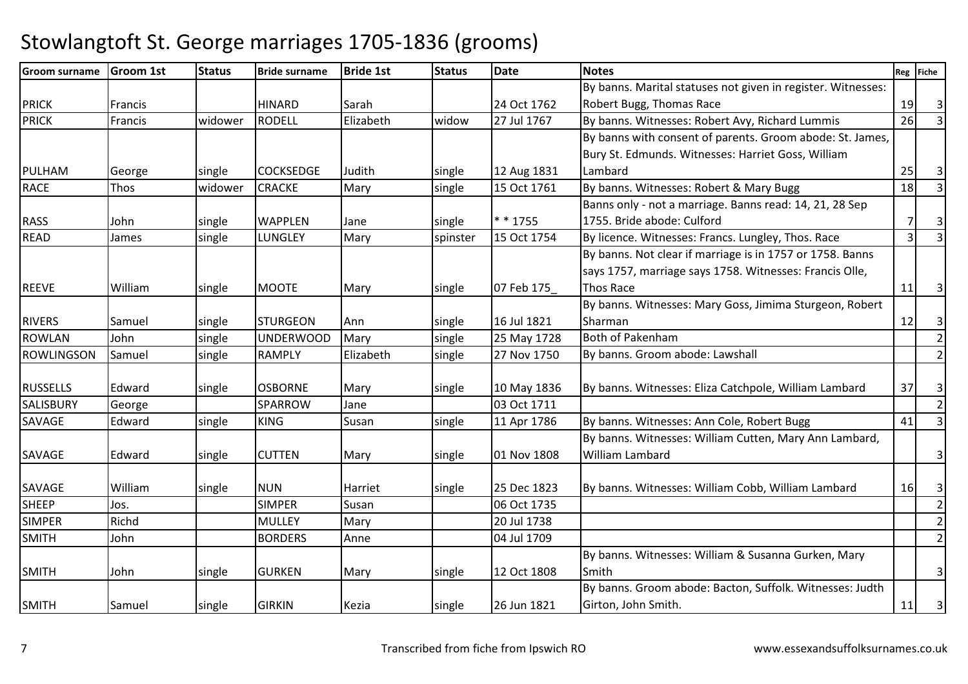#### Groom surname Groom 1st Status Bride surname Bride 1st Status Datee Notes Reg Fiche PRICK Francis HINARD Sarah 124 Oct 1762 27 Jul 1767 By banns. Marital statuses not given in register. Witnesses: Robert Bugg, Thomas Racee 19 3  $\overline{3}$ PRICK Francis widower RODELL Elizabeth widow 27 Jul 1767 By banns. Witnesses: Robert Avy, Richard Lummis <sup>26</sup> <sup>3</sup> PULHAM George Single COCKSEDGE Judith Single 12 Aug 1831 e 15 Oct 1761 By banns with consent of parents. Groom abode: St. James, Bury St. Edmunds. Witnesses: Harriet Goss, William Lambardd  $\begin{bmatrix} 25 & 3 \end{bmatrix}$  $\overline{3}$ RACEE Thos Widower CRACKE Mary Single By banns. Witnesses: Robert & Mary Bugg 18 3 RASS John single WAPPLEN Jane single \* \* 175515 Oct 1754 Banns only - not a marriage. Banns read: 14, 21, 28 Sep 1755. Bride abode: Culfordd 7 3  $\overline{3}$ READJames 59 Single LUNGLEY Mary Spinster 15 Oct 1754 By licence. Witnesses: Francs. Lungley, Thos. Race 1 REEVE William single MOOTE Mary single 07 Feb 175 By banns. Not clear if marriage is in 1757 or 1758. Banns says 1757, marriage says 1758. Witnesses: Francis Olle, Thos Racee 11 3 RIVERS Samuel single STURGEON Ann single 16 Jul 182125 May 1728 By banns. Witnesses: Mary Goss, Jimima Sturgeon, Robert Sharmann 12 3  $\overline{2}$ ROWLANN John Single UNDERWOOD Mary Single 25 May 1728 Both of Pakenham <sup>2</sup> ROWLINGSONSamuel 19. Samuel Single RAMPLY | Elizabeth | Single 27 Nov 1750 By banns. Groom abode: Lawshall 2 RUSSELLS Edward single OSBORNE Mary single 10 May 1836 By banns. Witnesses: Eliza Catchpole, William Lambard 37 3 SALISBURY George SPARROWW Jane 03 Oct 1711 2<br>Corea civil 11 April 2006 Publishers Witnesses Are Cally Palaet Prince 141 2 SAVAGE Edward single KINGSusan single 11 Apr 1786 By banns. Witnesses: Ann Cole, Robert Bugg 41 3 SAVAGE Edward single CUTTEN Mary single 01 Nov 1808 By banns. Witnesses: William Cutten, Mary Ann Lambard, William Lambardd 3 SAVAGE William single NUN Harriet single 25 Dec 182325 Dec 1823 By banns. Witnesses: William Cobb, William Lambard 16 3<br>06 Oct 1735 SHEEPP Jos. SIMPER R Susan 106 Oct 1735 2 SIMPERR Richd | MULLEY Mary | 20 Jul 1738 | 20 Jul 1738 | 20 Jul 20 Jul 20 Jul 20 Jul 20 Jul 20 Jul 20 Jul 20 Jul 20 Jul 20 Jul 20 Jul 20 Jul 20 Jul 20 Jul 20 Jul 20 Jul 20 Jul 20 Jul 20 Jul 20 Jul 20 Jul 20 Jul 20 Jul 20 Jul 20 SMITHH John BORDERS Anne 04 Jul 1709 2 SMITH John single GURKEN Mary single 12 Oct 1808By banns. Witnesses: William & Susanna Gurken, Mary Smithh 3 SMITH Samuel single GIRKIN Kezia single 26 Jun 1821By banns. Groom abode: Bacton, Suffolk. Witnesses: Judth Girton, John Smith. $\begin{bmatrix} 11 & 3 \end{bmatrix}$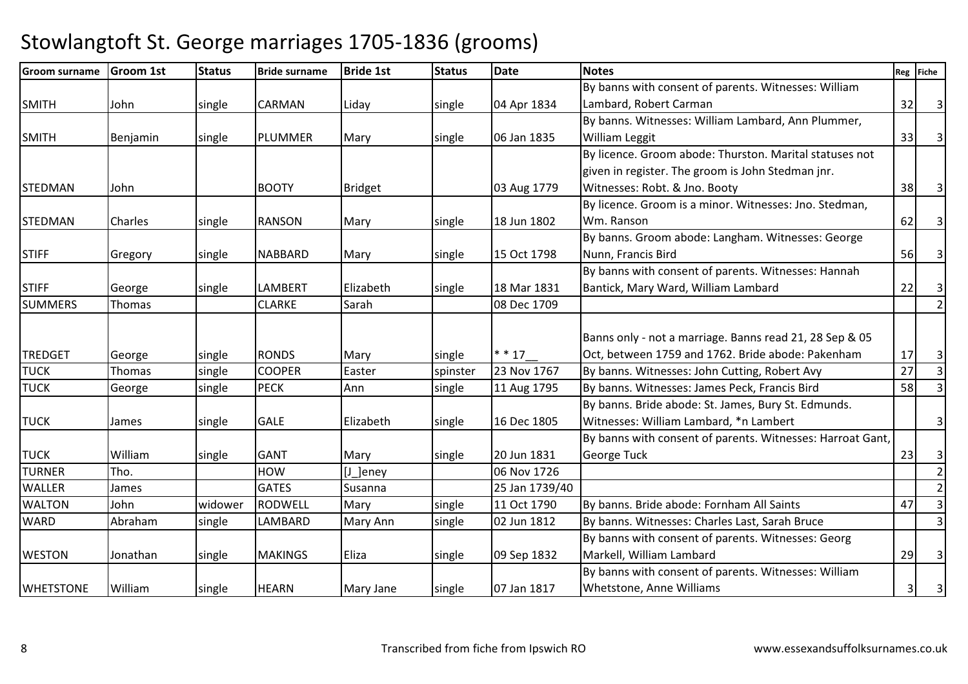| <b>Groom surname</b> | <b>Groom 1st</b> | <b>Status</b> | <b>Bride surname</b> | <b>Bride 1st</b> | <b>Status</b> | <b>Date</b>    | <b>Notes</b>                                               |    | Reg Fiche               |
|----------------------|------------------|---------------|----------------------|------------------|---------------|----------------|------------------------------------------------------------|----|-------------------------|
|                      |                  |               |                      |                  |               |                | By banns with consent of parents. Witnesses: William       |    |                         |
| <b>SMITH</b>         | John             | single        | <b>CARMAN</b>        | Liday            | single        | 04 Apr 1834    | Lambard, Robert Carman                                     | 32 | $\overline{3}$          |
|                      |                  |               |                      |                  |               |                | By banns. Witnesses: William Lambard, Ann Plummer,         |    |                         |
| <b>SMITH</b>         | Benjamin         | single        | PLUMMER              | Mary             | single        | 06 Jan 1835    | <b>William Leggit</b>                                      | 33 | $\overline{\mathbf{3}}$ |
|                      |                  |               |                      |                  |               |                | By licence. Groom abode: Thurston. Marital statuses not    |    |                         |
|                      |                  |               |                      |                  |               |                | given in register. The groom is John Stedman jnr.          |    |                         |
| <b>STEDMAN</b>       | John             |               | <b>BOOTY</b>         | <b>Bridget</b>   |               | 03 Aug 1779    | Witnesses: Robt. & Jno. Booty                              | 38 | $\overline{\mathbf{3}}$ |
|                      |                  |               |                      |                  |               |                | By licence. Groom is a minor. Witnesses: Jno. Stedman,     |    |                         |
| <b>STEDMAN</b>       | Charles          | single        | <b>RANSON</b>        | Mary             | single        | 18 Jun 1802    | Wm. Ranson                                                 | 62 | $\overline{3}$          |
|                      |                  |               |                      |                  |               |                | By banns. Groom abode: Langham. Witnesses: George          |    |                         |
| <b>STIFF</b>         | Gregory          | single        | <b>NABBARD</b>       | Mary             | single        | 15 Oct 1798    | Nunn, Francis Bird                                         | 56 | $\overline{\mathbf{3}}$ |
|                      |                  |               |                      |                  |               |                | By banns with consent of parents. Witnesses: Hannah        |    |                         |
| <b>STIFF</b>         | George           | single        | <b>LAMBERT</b>       | Elizabeth        | single        | 18 Mar 1831    | Bantick, Mary Ward, William Lambard                        | 22 | $\vert$ 3               |
| <b>SUMMERS</b>       | Thomas           |               | <b>CLARKE</b>        | Sarah            |               | 08 Dec 1709    |                                                            |    | $\overline{2}$          |
|                      |                  |               |                      |                  |               |                |                                                            |    |                         |
|                      |                  |               |                      |                  |               |                | Banns only - not a marriage. Banns read 21, 28 Sep & 05    |    |                         |
| <b>TREDGET</b>       | George           | single        | <b>RONDS</b>         | Mary             | single        | $* * 17$       | Oct, between 1759 and 1762. Bride abode: Pakenham          | 17 | 3                       |
| <b>TUCK</b>          | Thomas           | single        | <b>COOPER</b>        | Easter           | spinster      | 23 Nov 1767    | By banns. Witnesses: John Cutting, Robert Avy              | 27 | $\overline{3}$          |
| <b>TUCK</b>          | George           | single        | <b>PECK</b>          | Ann              | single        | 11 Aug 1795    | By banns. Witnesses: James Peck, Francis Bird              | 58 | $\vert$ 3               |
|                      |                  |               |                      |                  |               |                | By banns. Bride abode: St. James, Bury St. Edmunds.        |    |                         |
| <b>TUCK</b>          | James            | single        | <b>GALE</b>          | Elizabeth        | single        | 16 Dec 1805    | Witnesses: William Lambard, *n Lambert                     |    | $\overline{3}$          |
|                      |                  |               |                      |                  |               |                | By banns with consent of parents. Witnesses: Harroat Gant, |    |                         |
| <b>TUCK</b>          | William          | single        | <b>GANT</b>          | Mary             | single        | 20 Jun 1831    | <b>George Tuck</b>                                         | 23 | 3 <sup>1</sup>          |
| <b>TURNER</b>        | Tho.             |               | <b>HOW</b>           | [J_]eney         |               | 06 Nov 1726    |                                                            |    | $\overline{2}$          |
| <b>WALLER</b>        | James            |               | <b>GATES</b>         | Susanna          |               | 25 Jan 1739/40 |                                                            |    | $\overline{2}$          |
| <b>WALTON</b>        | John             | widower       | <b>RODWELL</b>       | Mary             | single        | 11 Oct 1790    | By banns. Bride abode: Fornham All Saints                  | 47 | $\overline{\mathbf{3}}$ |
| <b>WARD</b>          | Abraham          | single        | LAMBARD              | Mary Ann         | single        | 02 Jun 1812    | By banns. Witnesses: Charles Last, Sarah Bruce             |    | $\overline{3}$          |
|                      |                  |               |                      |                  |               |                | By banns with consent of parents. Witnesses: Georg         |    |                         |
| <b>WESTON</b>        | Jonathan         | single        | <b>MAKINGS</b>       | Eliza            | single        | 09 Sep 1832    | Markell, William Lambard                                   | 29 | 3 <sup>1</sup>          |
|                      |                  |               |                      |                  |               |                | By banns with consent of parents. Witnesses: William       |    |                         |
| <b>WHETSTONE</b>     | William          | single        | <b>HEARN</b>         | Mary Jane        | single        | 07 Jan 1817    | Whetstone, Anne Williams                                   | 3  | 3 <sup>1</sup>          |